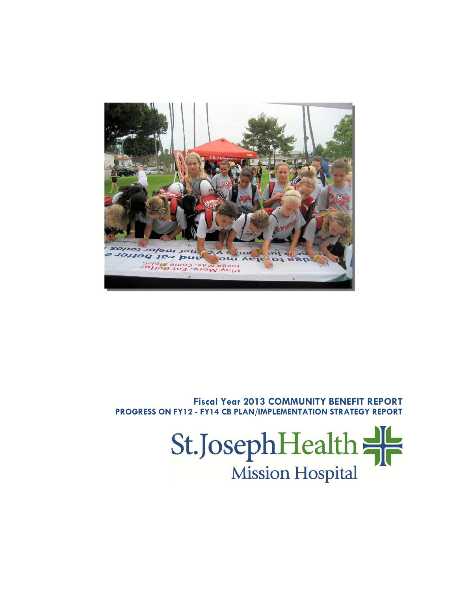

## **Fiscal Year 2013 COMMUNITY BENEFIT REPORT PROGRESS ON FY12 - FY14 CB PLAN/IMPLEMENTATION STRATEGY REPORT**

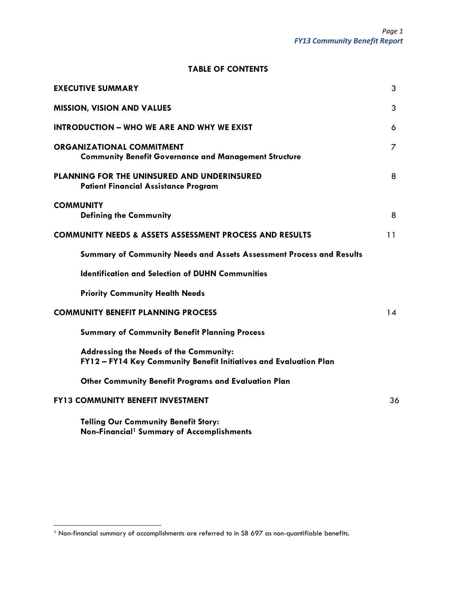## **TABLE OF CONTENTS**

| <b>EXECUTIVE SUMMARY</b>                                                                                           | 3  |
|--------------------------------------------------------------------------------------------------------------------|----|
| <b>MISSION, VISION AND VALUES</b>                                                                                  | 3  |
| <b>INTRODUCTION - WHO WE ARE AND WHY WE EXIST</b>                                                                  | 6  |
| <b>ORGANIZATIONAL COMMITMENT</b><br><b>Community Benefit Governance and Management Structure</b>                   | 7  |
| PLANNING FOR THE UNINSURED AND UNDERINSURED<br><b>Patient Financial Assistance Program</b>                         | 8  |
| <b>COMMUNITY</b><br><b>Defining the Community</b>                                                                  | 8  |
| <b>COMMUNITY NEEDS &amp; ASSETS ASSESSMENT PROCESS AND RESULTS</b>                                                 | 11 |
| Summary of Community Needs and Assets Assessment Process and Results                                               |    |
| <b>Identification and Selection of DUHN Communities</b>                                                            |    |
| <b>Priority Community Health Needs</b>                                                                             |    |
| <b>COMMUNITY BENEFIT PLANNING PROCESS</b>                                                                          | 14 |
| <b>Summary of Community Benefit Planning Process</b>                                                               |    |
| <b>Addressing the Needs of the Community:</b><br>FY12 - FY14 Key Community Benefit Initiatives and Evaluation Plan |    |
| <b>Other Community Benefit Programs and Evaluation Plan</b>                                                        |    |
| <b>FY13 COMMUNITY BENEFIT INVESTMENT</b>                                                                           | 36 |
| <b>Telling Our Community Benefit Story:</b><br>Non-Financial <sup>1</sup> Summary of Accomplishments               |    |

<sup>&</sup>lt;sup>1</sup> Non-financial summary of accomplishments are referred to in SB 697 as non-quantifiable benefits.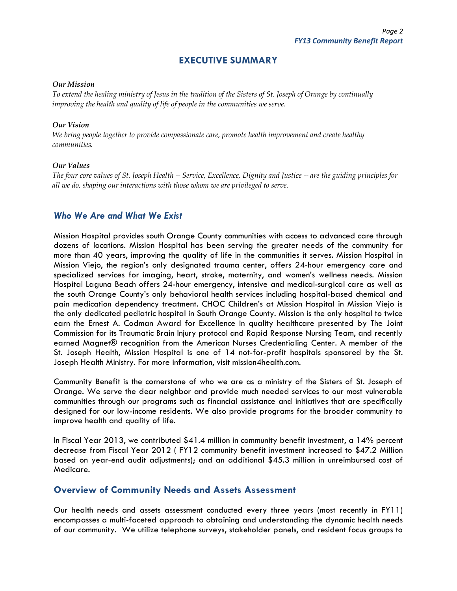## **EXECUTIVE SUMMARY**

#### *Our Mission*

*To extend the healing ministry of Jesus in the tradition of the Sisters of St. Joseph of Orange by continually improving the health and quality of life of people in the communities we serve.* 

#### *Our Vision*

*We bring people together to provide compassionate care, promote health improvement and create healthy communities.* 

#### *Our Values*

*The four core values of St. Joseph Health -- Service, Excellence, Dignity and Justice -- are the guiding principles for all we do, shaping our interactions with those whom we are privileged to serve.* 

### *Who We Are and What We Exist*

Mission Hospital provides south Orange County communities with access to advanced care through dozens of locations. Mission Hospital has been serving the greater needs of the community for more than 40 years, improving the quality of life in the communities it serves. Mission Hospital in Mission Viejo, the region's only designated trauma center, offers 24-hour emergency care and specialized services for imaging, heart, stroke, maternity, and women's wellness needs. Mission Hospital Laguna Beach offers 24-hour emergency, intensive and medical-surgical care as well as the south Orange County's only behavioral health services including hospital-based chemical and pain medication dependency treatment. CHOC Children's at Mission Hospital in Mission Viejo is the only dedicated pediatric hospital in South Orange County. Mission is the only hospital to twice earn the Ernest A. Codman Award for Excellence in quality healthcare presented by The Joint Commission for its Traumatic Brain Injury protocol and Rapid Response Nursing Team, and recently earned Magnet® recognition from the American Nurses Credentialing Center. A member of the St. Joseph Health, Mission Hospital is one of 14 not-for-profit hospitals sponsored by the St. Joseph Health Ministry. For more information, visit mission4health.com.

Community Benefit is the cornerstone of who we are as a ministry of the Sisters of St. Joseph of Orange. We serve the dear neighbor and provide much needed services to our most vulnerable communities through our programs such as financial assistance and initiatives that are specifically designed for our low-income residents. We also provide programs for the broader community to improve health and quality of life.

In Fiscal Year 2013, we contributed \$41.4 million in community benefit investment, a 14% percent decrease from Fiscal Year 2012 ( FY12 community benefit investment increased to \$47.2 Million based on year-end audit adjustments); and an additional \$45.3 million in unreimbursed cost of Medicare.

### **Overview of Community Needs and Assets Assessment**

Our health needs and assets assessment conducted every three years (most recently in FY11) encompasses a multi-faceted approach to obtaining and understanding the dynamic health needs of our community. We utilize telephone surveys, stakeholder panels, and resident focus groups to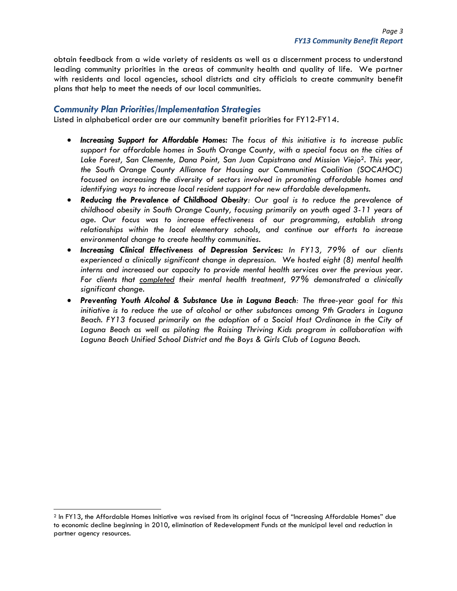obtain feedback from a wide variety of residents as well as a discernment process to understand leading community priorities in the areas of community health and quality of life. We partner with residents and local agencies, school districts and city officials to create community benefit plans that help to meet the needs of our local communities.

### *Community Plan Priorities/Implementation Strategies*

Listed in alphabetical order are our community benefit priorities for FY12-FY14*.* 

- *Increasing Support for Affordable Homes: The focus of this initiative is to increase public support for affordable homes in South Orange County, with a special focus on the cities of Lake Forest, San Clemente, Dana Point, San Juan Capistrano and Mission Viejo*2*. This year, the South Orange County Alliance for Housing our Communities Coalition (SOCAHOC) focused on increasing the diversity of sectors involved in promoting affordable homes and identifying ways to increase local resident support for new affordable developments.*
- *Reducing the Prevalence of Childhood Obesity: Our goal is to reduce the prevalence of childhood obesity in South Orange County, focusing primarily on youth aged 3-11 years of age. Our focus was to increase effectiveness of our programming, establish strong relationships within the local elementary schools, and continue our efforts to increase environmental change to create healthy communities.*
- *Increasing Clinical Effectiveness of Depression Services: In FY13, 79% of our clients experienced a clinically significant change in depression. We hosted eight (8) mental health interns and increased our capacity to provide mental health services over the previous year. For clients that completed their mental health treatment, 97% demonstrated a clinically significant change.*
- *Preventing Youth Alcohol & Substance Use in Laguna Beach: The three-year goal for this initiative is to reduce the use of alcohol or other substances among 9th Graders in Laguna Beach. FY13 focused primarily on the adoption of a Social Host Ordinance in the City of Laguna Beach as well as piloting the Raising Thriving Kids program in collaboration with Laguna Beach Unified School District and the Boys & Girls Club of Laguna Beach.*

<sup>2</sup> In FY13, the Affordable Homes Initiative was revised from its original focus of "Increasing Affordable Homes" due to economic decline beginning in 2010, elimination of Redevelopment Funds at the municipal level and reduction in partner agency resources.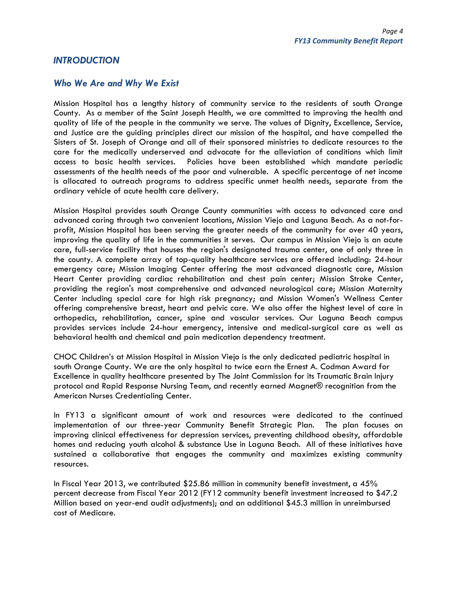### *INTRODUCTION*

### *Who We Are and Why We Exist*

Mission Hospital has a lengthy history of community service to the residents of south Orange County. As a member of the Saint Joseph Health, we are committed to improving the health and quality of life of the people in the community we serve. The values of Dignity, Excellence, Service, and Justice are the guiding principles direct our mission of the hospital, and have compelled the Sisters of St. Joseph of Orange and all of their sponsored ministries to dedicate resources to the care for the medically underserved and advocate for the alleviation of conditions which limit access to basic health services. Policies have been established which mandate periodic assessments of the health needs of the poor and vulnerable. A specific percentage of net income is allocated to outreach programs to address specific unmet health needs, separate from the ordinary vehicle of acute health care delivery.

Mission Hospital provides south Orange County communities with access to advanced care and advanced caring through two convenient locations, Mission Viejo and Laguna Beach. As a not-forprofit, Mission Hospital has been serving the greater needs of the community for over 40 years, improving the quality of life in the communities it serves. Our campus in Mission Viejo is an acute care, full-service facility that houses the region's designated trauma center, one of only three in the county. A complete array of top-quality healthcare services are offered including: 24-hour emergency care; Mission Imaging Center offering the most advanced diagnostic care, Mission Heart Center providing cardiac rehabilitation and chest pain center; Mission Stroke Center, providing the region's most comprehensive and advanced neurological care; Mission Maternity Center including special care for high risk pregnancy; and Mission Women's Wellness Center offering comprehensive breast, heart and pelvic care. We also offer the highest level of care in orthopedics, rehabilitation, cancer, spine and vascular services. Our Laguna Beach campus provides services include 24-hour emergency, intensive and medical-surgical care as well as behavioral health and chemical and pain medication dependency treatment.

CHOC Children's at Mission Hospital in Mission Viejo is the only dedicated pediatric hospital in south Orange County. We are the only hospital to twice earn the Ernest A. Codman Award for Excellence in quality healthcare presented by The Joint Commission for its Traumatic Brain Injury protocol and Rapid Response Nursing Team, and recently earned Magnet® recognition from the American Nurses Credentialing Center.

In FY13 a significant amount of work and resources were dedicated to the continued implementation of our three-year Community Benefit Strategic Plan. The plan focuses on improving clinical effectiveness for depression services, preventing childhood obesity, affordable homes and reducing youth alcohol & substance Use in Laguna Beach. All of these initiatives have sustained a collaborative that engages the community and maximizes existing community resources.

In Fiscal Year 2013, we contributed \$25.86 million in community benefit investment, a 45% percent decrease from Fiscal Year 2012 (FY12 community benefit investment increased to \$47.2 Million based on year-end audit adjustments); and an additional \$45.3 million in unreimbursed cost of Medicare.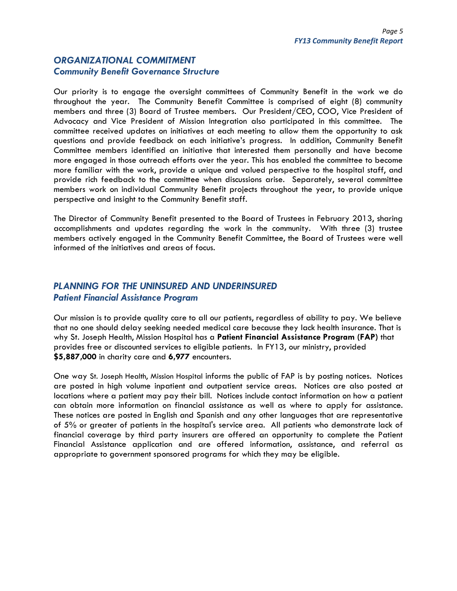## *ORGANIZATIONAL COMMITMENT Community Benefit Governance Structure*

Our priority is to engage the oversight committees of Community Benefit in the work we do throughout the year. The Community Benefit Committee is comprised of eight (8) community members and three (3) Board of Trustee members. Our President/CEO, COO, Vice President of Advocacy and Vice President of Mission Integration also participated in this committee. The committee received updates on initiatives at each meeting to allow them the opportunity to ask questions and provide feedback on each initiative's progress. In addition, Community Benefit Committee members identified an initiative that interested them personally and have become more engaged in those outreach efforts over the year. This has enabled the committee to become more familiar with the work, provide a unique and valued perspective to the hospital staff, and provide rich feedback to the committee when discussions arise. Separately, several committee members work on individual Community Benefit projects throughout the year, to provide unique perspective and insight to the Community Benefit staff.

The Director of Community Benefit presented to the Board of Trustees in February 2013, sharing accomplishments and updates regarding the work in the community. With three (3) trustee members actively engaged in the Community Benefit Committee, the Board of Trustees were well informed of the initiatives and areas of focus.

## *PLANNING FOR THE UNINSURED AND UNDERINSURED Patient Financial Assistance Program*

Our mission is to provide quality care to all our patients, regardless of ability to pay. We believe that no one should delay seeking needed medical care because they lack health insurance. That is why St. Joseph Health, Mission Hospital has a **Patient Financial Assistance Program (FAP)** that provides free or discounted services to eligible patients. In FY13, our ministry, provided **\$5,887,000** in charity care and **6,977** encounters.

One way St. Joseph Health, Mission Hospital informs the public of FAP is by posting notices. Notices are posted in high volume inpatient and outpatient service areas. Notices are also posted at locations where a patient may pay their bill. Notices include contact information on how a patient can obtain more information on financial assistance as well as where to apply for assistance. These notices are posted in English and Spanish and any other languages that are representative of 5% or greater of patients in the hospital's service area. All patients who demonstrate lack of financial coverage by third party insurers are offered an opportunity to complete the Patient Financial Assistance application and are offered information, assistance, and referral as appropriate to government sponsored programs for which they may be eligible.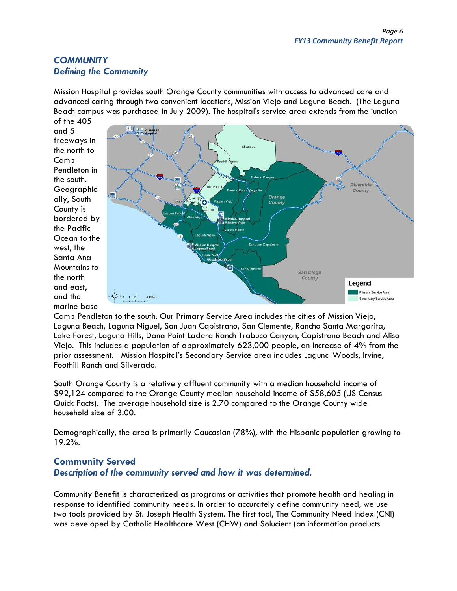## *COMMUNITY Defining the Community*

Mission Hospital provides south Orange County communities with access to advanced care and advanced caring through two convenient locations, Mission Viejo and Laguna Beach. (The Laguna Beach campus was purchased in July 2009). The hospital's service area extends from the junction of the 405

and 5 freeways in the north to Camp Pendleton in the south. Geographic ally, South County is bordered by the Pacific Ocean to the west, the Santa Ana Mountains to the north and east, and the marine base



Camp Pendleton to the south. Our Primary Service Area includes the cities of Mission Viejo, Laguna Beach, Laguna Niguel, San Juan Capistrano, San Clemente, Rancho Santa Margarita, Lake Forest, Laguna Hills, Dana Point Ladera Ranch Trabuco Canyon, Capistrano Beach and Aliso Viejo. This includes a population of approximately 623,000 people, an increase of 4% from the prior assessment. Mission Hospital's Secondary Service area includes Laguna Woods, Irvine, Foothill Ranch and Silverado.

South Orange County is a relatively affluent community with a median household income of \$92,124 compared to the Orange County median household income of \$58,605 (US Census Quick Facts). The average household size is 2.70 compared to the Orange County wide household size of 3.00.

Demographically, the area is primarily Caucasian (78%), with the Hispanic population growing to 19.2%.

## **Community Served**  *Description of the community served and how it was determined.*

Community Benefit is characterized as programs or activities that promote health and healing in response to identified community needs. In order to accurately define community need, we use two tools provided by St. Joseph Health System. The first tool, The Community Need Index (CNI) was developed by Catholic Healthcare West (CHW) and Solucient (an information products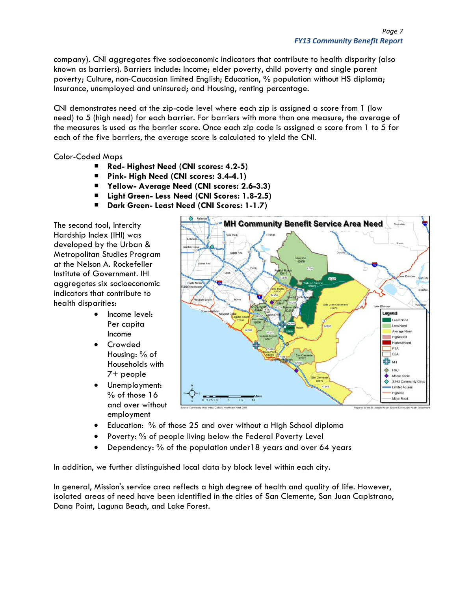company). CNI aggregates five socioeconomic indicators that contribute to health disparity (also known as barriers). Barriers include: Income; elder poverty, child poverty and single parent poverty; Culture, non-Caucasian limited English; Education, % population without HS diploma; Insurance, unemployed and uninsured; and Housing, renting percentage.

CNI demonstrates need at the zip-code level where each zip is assigned a score from 1 (low need) to 5 (high need) for each barrier. For barriers with more than one measure, the average of the measures is used as the barrier score. Once each zip code is assigned a score from 1 to 5 for each of the five barriers, the average score is calculated to yield the CNI.

Color-Coded Maps

- Red- Highest Need (CNI scores: 4.2-5)
- **Pink- High Need (CNI scores: 3.4-4.1)**
- **Yellow- Average Need (CNI scores: 2.6-3.3)**
- Light Green- Less Need (CNI Scores: 1.8-2.5)
- **Dark Green- Least Need (CNI Scores: 1-1.7)**

The second tool, Intercity Hardship Index (IHI) was developed by the Urban & Metropolitan Studies Program at the Nelson A. Rockefeller Institute of Government. IHI aggregates six socioeconomic indicators that contribute to health disparities:

- Income level: Per capita Income
- Crowded Housing: % of Households with 7+ people
- Unemployment: % of those 16 and over without employment



- Education: % of those 25 and over without a High School diploma
- Poverty: % of people living below the Federal Poverty Level
- Dependency: % of the population under18 years and over 64 years

In addition, we further distinguished local data by block level within each city.

In general, Mission's service area reflects a high degree of health and quality of life. However, isolated areas of need have been identified in the cities of San Clemente, San Juan Capistrano, Dana Point, Laguna Beach, and Lake Forest.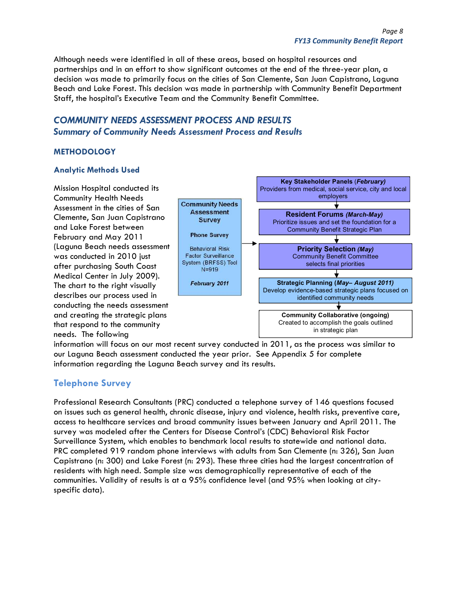Although needs were identified in all of these areas, based on hospital resources and partnerships and in an effort to show significant outcomes at the end of the three-year plan, a decision was made to primarily focus on the cities of San Clemente, San Juan Capistrano, Laguna Beach and Lake Forest. This decision was made in partnership with Community Benefit Department Staff, the hospital's Executive Team and the Community Benefit Committee.

## *COMMUNITY NEEDS ASSESSMENT PROCESS AND RESULTS Summary of Community Needs Assessment Process and Results*

### **METHODOLOGY**

#### **Analytic Methods Used**

Mission Hospital conducted its Community Health Needs Assessment in the cities of San Clemente, San Juan Capistrano and Lake Forest between February and May 2011 (Laguna Beach needs assessment was conducted in 2010 just after purchasing South Coast Medical Center in July 2009). The chart to the right visually describes our process used in conducting the needs assessment and creating the strategic plans that respond to the community needs. The following



information will focus on our most recent survey conducted in 2011, as the process was similar to our Laguna Beach assessment conducted the year prior. See Appendix 5 for complete information regarding the Laguna Beach survey and its results.

## **Telephone Survey**

Professional Research Consultants (PRC) conducted a telephone survey of 146 questions focused on issues such as general health, chronic disease, injury and violence, health risks, preventive care, access to healthcare services and broad community issues between January and April 2011. The survey was modeled after the Centers for Disease Control's (CDC) Behavioral Risk Factor Surveillance System, which enables to benchmark local results to statewide and national data. PRC completed 919 random phone interviews with adults from San Clemente (n: 326), San Juan Capistrano (n: 300) and Lake Forest (n: 293). These three cities had the largest concentration of residents with high need. Sample size was demographically representative of each of the communities. Validity of results is at a 95% confidence level (and 95% when looking at cityspecific data).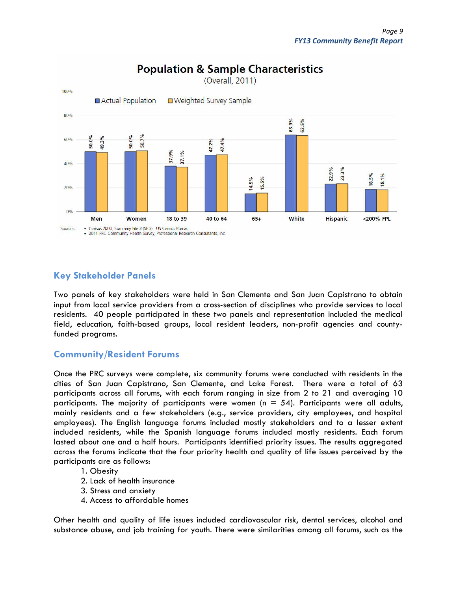

# **Population & Sample Characteristics**

## **Key Stakeholder Panels**

Two panels of key stakeholders were held in San Clemente and San Juan Capistrano to obtain input from local service providers from a cross-section of disciplines who provide services to local residents. 40 people participated in these two panels and representation included the medical field, education, faith-based groups, local resident leaders, non-profit agencies and countyfunded programs.

## **Community/Resident Forums**

Once the PRC surveys were complete, six community forums were conducted with residents in the cities of San Juan Capistrano, San Clemente, and Lake Forest. There were a total of 63 participants across all forums, with each forum ranging in size from 2 to 21 and averaging 10 participants. The majority of participants were women ( $n = 54$ ). Participants were all adults, mainly residents and a few stakeholders (e.g., service providers, city employees, and hospital employees). The English language forums included mostly stakeholders and to a lesser extent included residents, while the Spanish language forums included mostly residents. Each forum lasted about one and a half hours. Participants identified priority issues. The results aggregated across the forums indicate that the four priority health and quality of life issues perceived by the participants are as follows:

### 1. Obesity

- 2. Lack of health insurance
- 3. Stress and anxiety
- 4. Access to affordable homes

Other health and quality of life issues included cardiovascular risk, dental services, alcohol and substance abuse, and job training for youth. There were similarities among all forums, such as the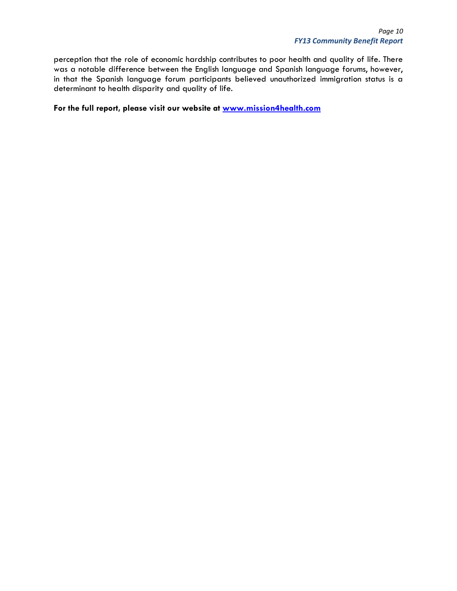perception that the role of economic hardship contributes to poor health and quality of life. There was a notable difference between the English language and Spanish language forums, however, in that the Spanish language forum participants believed unauthorized immigration status is a determinant to health disparity and quality of life.

**For the full report, please visit our website at www.mission4health.com**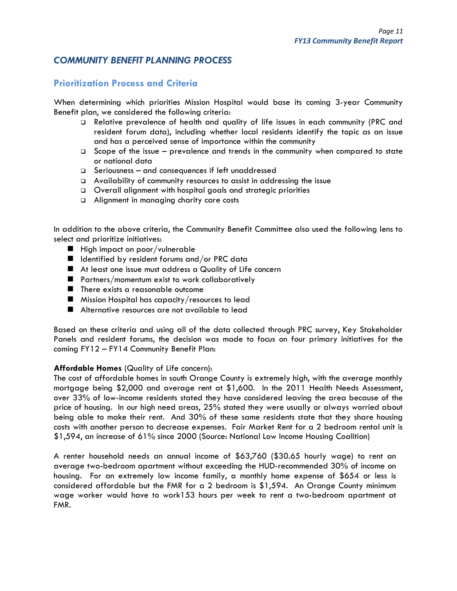## *COMMUNITY BENEFIT PLANNING PROCESS*

## **Prioritization Process and Criteria**

When determining which priorities Mission Hospital would base its coming 3-year Community Benefit plan, we considered the following criteria:

- Relative prevalence of health and quality of life issues in each community (PRC and resident forum data), including whether local residents identify the topic as an issue and has a perceived sense of importance within the community
- $\square$  Scope of the issue prevalence and trends in the community when compared to state or national data
- $\square$  Seriousness and consequences if left unaddressed
- Availability of community resources to assist in addressing the issue
- Overall alignment with hospital goals and strategic priorities
- Alignment in managing charity care costs

In addition to the above criteria, the Community Benefit Committee also used the following lens to select and prioritize initiatives:

- $\blacksquare$  High impact on poor/vulnerable
- $\blacksquare$  Identified by resident forums and/or PRC data
- At least one issue must address a Quality of Life concern
- **Partners/momentum exist to work collaboratively**
- There exists a reasonable outcome
- **Mission Hospital has capacity/resources to lead**
- Alternative resources are not available to lead

Based on these criteria and using all of the data collected through PRC survey, Key Stakeholder Panels and resident forums, the decision was made to focus on four primary initiatives for the coming FY12 – FY14 Community Benefit Plan:

#### **Affordable Homes** (Quality of Life concern):

The cost of affordable homes in south Orange County is extremely high, with the average monthly mortgage being \$2,000 and average rent at \$1,600. In the 2011 Health Needs Assessment, over 33% of low-income residents stated they have considered leaving the area because of the price of housing. In our high need areas, 25% stated they were usually or always worried about being able to make their rent. And 30% of these same residents state that they share housing costs with another person to decrease expenses. Fair Market Rent for a 2 bedroom rental unit is \$1,594, an increase of 61% since 2000 (Source: National Low Income Housing Coalition)

A renter household needs an annual income of \$63,760 (\$30.65 hourly wage) to rent an average two-bedroom apartment without exceeding the HUD-recommended 30% of income on housing. For an extremely low income family, a monthly home expense of \$654 or less is considered affordable but the FMR for a 2 bedroom is \$1,594. An Orange County minimum wage worker would have to work153 hours per week to rent a two-bedroom apartment at FMR.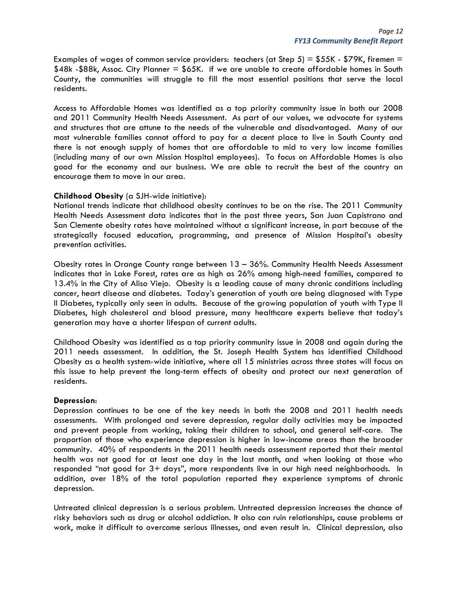Examples of wages of common service providers: teachers (at Step 5) =  $$55K$  -  $$79K$ , firemen = \$48k -\$88k, Assoc. City Planner = \$65K. if we are unable to create affordable homes in South County, the communities will struggle to fill the most essential positions that serve the local residents.

Access to Affordable Homes was identified as a top priority community issue in both our 2008 and 2011 Community Health Needs Assessment. As part of our values, we advocate for systems and structures that are attune to the needs of the vulnerable and disadvantaged. Many of our most vulnerable families cannot afford to pay for a decent place to live in South County and there is not enough supply of homes that are affordable to mid to very low income families (including many of our own Mission Hospital employees). To focus on Affordable Homes is also good for the economy and our business. We are able to recruit the best of the country an encourage them to move in our area.

#### **Childhood Obesity** (a SJH-wide initiative):

National trends indicate that childhood obesity continues to be on the rise. The 2011 Community Health Needs Assessment data indicates that in the past three years, San Juan Capistrano and San Clemente obesity rates have maintained without a significant increase, in part because of the strategically focused education, programming, and presence of Mission Hospital's obesity prevention activities.

Obesity rates in Orange County range between 13 – 36%. Community Health Needs Assessment indicates that in Lake Forest, rates are as high as 26% among high-need families, compared to 13.4% in the City of Aliso Viejo. Obesity is a leading cause of many chronic conditions including cancer, heart disease and diabetes. Today's generation of youth are being diagnosed with Type II Diabetes, typically only seen in adults. Because of the growing population of youth with Type II Diabetes, high cholesterol and blood pressure, many healthcare experts believe that today's generation may have a shorter lifespan of current adults.

Childhood Obesity was identified as a top priority community issue in 2008 and again during the 2011 needs assessment. In addition, the St. Joseph Health System has identified Childhood Obesity as a health system-wide initiative, where all 15 ministries across three states will focus on this issue to help prevent the long-term effects of obesity and protect our next generation of residents.

#### **Depression**:

Depression continues to be one of the key needs in both the 2008 and 2011 health needs assessments. With prolonged and severe depression, regular daily activities may be impacted and prevent people from working, taking their children to school, and general self-care. The proportion of those who experience depression is higher in low-income areas than the broader community. 40% of respondents in the 2011 health needs assessment reported that their mental health was not good for at least one day in the last month, and when looking at those who responded "not good for 3+ days", more respondents live in our high need neighborhoods. In addition, over 18% of the total population reported they experience symptoms of chronic depression.

Untreated clinical depression is a serious problem. Untreated depression increases the chance of risky behaviors such as drug or alcohol addiction. It also can ruin relationships, cause problems at work, make it difficult to overcome serious illnesses, and even result in. Clinical depression, also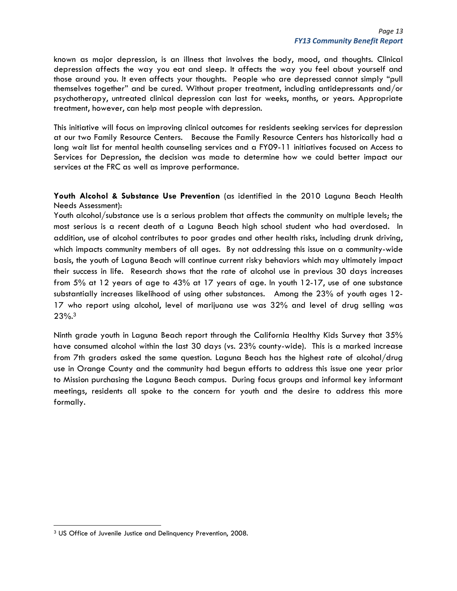known as major depression, is an illness that involves the body, mood, and thoughts. Clinical depression affects the way you eat and sleep. It affects the way you feel about yourself and those around you. It even affects your thoughts. People who are depressed cannot simply "pull themselves together" and be cured. Without proper treatment, including antidepressants and/or psychotherapy, untreated clinical depression can last for weeks, months, or years. Appropriate treatment, however, can help most people with depression.

This initiative will focus on improving clinical outcomes for residents seeking services for depression at our two Family Resource Centers. Because the Family Resource Centers has historically had a long wait list for mental health counseling services and a FY09-11 initiatives focused on Access to Services for Depression, the decision was made to determine how we could better impact our services at the FRC as well as improve performance.

**Youth Alcohol & Substance Use Prevention** (as identified in the 2010 Laguna Beach Health Needs Assessment):

Youth alcohol/substance use is a serious problem that affects the community on multiple levels; the most serious is a recent death of a Laguna Beach high school student who had overdosed. In addition, use of alcohol contributes to poor grades and other health risks, including drunk driving, which impacts community members of all ages. By not addressing this issue on a community-wide basis, the youth of Laguna Beach will continue current risky behaviors which may ultimately impact their success in life. Research shows that the rate of alcohol use in previous 30 days increases from 5% at 12 years of age to 43% at 17 years of age. In youth 12-17, use of one substance substantially increases likelihood of using other substances. Among the 23% of youth ages 12- 17 who report using alcohol, level of marijuana use was 32% and level of drug selling was 23%.3

Ninth grade youth in Laguna Beach report through the California Healthy Kids Survey that 35% have consumed alcohol within the last 30 days (vs. 23% county-wide). This is a marked increase from 7th graders asked the same question. Laguna Beach has the highest rate of alcohol/drug use in Orange County and the community had begun efforts to address this issue one year prior to Mission purchasing the Laguna Beach campus. During focus groups and informal key informant meetings, residents all spoke to the concern for youth and the desire to address this more formally.

<sup>3</sup> US Office of Juvenile Justice and Delinquency Prevention, 2008.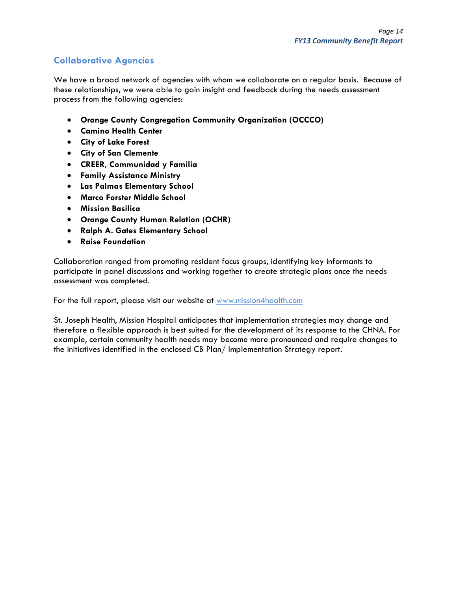## **Collaborative Agencies**

We have a broad network of agencies with whom we collaborate on a regular basis. Because of these relationships, we were able to gain insight and feedback during the needs assessment process from the following agencies:

- **Orange County Congregation Community Organization (OCCCO)**
- **Camino Health Center**
- **City of Lake Forest**
- **City of San Clemente**
- **CREER, Communidad y Familia**
- **Family Assistance Ministry**
- **Las Palmas Elementary School**
- **Marco Forster Middle School**
- **Mission Basilica**
- **Orange County Human Relation (OCHR)**
- **Ralph A. Gates Elementary School**
- **Raise Foundation**

Collaboration ranged from promoting resident focus groups, identifying key informants to participate in panel discussions and working together to create strategic plans once the needs assessment was completed.

For the full report, please visit our website at www.mission4health.com

St. Joseph Health, Mission Hospital anticipates that implementation strategies may change and therefore a flexible approach is best suited for the development of its response to the CHNA. For example, certain community health needs may become more pronounced and require changes to the initiatives identified in the enclosed CB Plan/ Implementation Strategy report.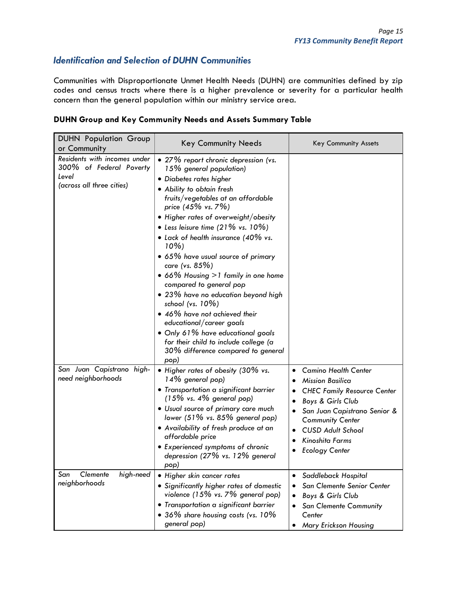## *Identification and Selection of DUHN Communities*

Communities with Disproportionate Unmet Health Needs (DUHN) are communities defined by zip codes and census tracts where there is a higher prevalence or severity for a particular health concern than the general population within our ministry service area.

#### **DUHN Group and Key Community Needs and Assets Summary Table**

| <b>DUHN Population Group</b><br>or Community                                                  | <b>Key Community Needs</b>                                                                                                                                                                                                                                                                                                                                                                                                                                                                                                                                                                                                                                                                                    | Key Community Assets                                                                                                                                                                                                                                 |
|-----------------------------------------------------------------------------------------------|---------------------------------------------------------------------------------------------------------------------------------------------------------------------------------------------------------------------------------------------------------------------------------------------------------------------------------------------------------------------------------------------------------------------------------------------------------------------------------------------------------------------------------------------------------------------------------------------------------------------------------------------------------------------------------------------------------------|------------------------------------------------------------------------------------------------------------------------------------------------------------------------------------------------------------------------------------------------------|
| Residents with incomes under<br>300% of Federal Poverty<br>Level<br>(across all three cities) | • 27% report chronic depression (vs.<br>15% general population)<br>• Diabetes rates higher<br>• Ability to obtain fresh<br>fruits/vegetables at an affordable<br>price (45% vs. 7%)<br>. Higher rates of overweight/obesity<br>• Less leisure time $(21\% \text{ vs. } 10\%)$<br>• Lack of health insurance (40% vs.<br>$10\%$<br>· 65% have usual source of primary<br>care (vs. 85%)<br>• 66% Housing > 1 family in one home<br>compared to general pop<br>• 23% have no education beyond high<br>school (vs. 10%)<br>• 46% have not achieved their<br>educational/career goals<br>• Only 61% have educational goals<br>for their child to include college (a<br>30% difference compared to general<br>(pop |                                                                                                                                                                                                                                                      |
| San Juan Capistrano high-<br>need neighborhoods<br>San                                        | • Higher rates of obesity (30% vs.<br>14% general pop)<br>· Transportation a significant barrier<br>$(15\% \text{ vs. } 4\% \text{ general pop})$<br>· Usual source of primary care much<br>lower $(51\%$ vs. 85% general pop)<br>. Availability of fresh produce at an<br>affordable price<br>• Experienced symptoms of chronic<br>depression (27% vs. 12% general<br>(pop                                                                                                                                                                                                                                                                                                                                   | <b>Camino Health Center</b><br><b>Mission Basilica</b><br><b>CHEC Family Resource Center</b><br>Boys & Girls Club<br>San Juan Capistrano Senior &<br><b>Community Center</b><br><b>CUSD Adult School</b><br>Kinoshita Farms<br><b>Ecology Center</b> |
| Clemente<br>high-need<br>neighborhoods                                                        | • Higher skin cancer rates<br>• Significantly higher rates of domestic<br>violence $(15\% \text{ vs. } 7\% \text{ general pop})$<br>• Transportation a significant barrier<br>• 36% share housing costs (vs. 10%<br>general pop)                                                                                                                                                                                                                                                                                                                                                                                                                                                                              | Saddleback Hospital<br>San Clemente Senior Center<br>Boys & Girls Club<br><b>San Clemente Community</b><br>Center<br>Mary Erickson Housing                                                                                                           |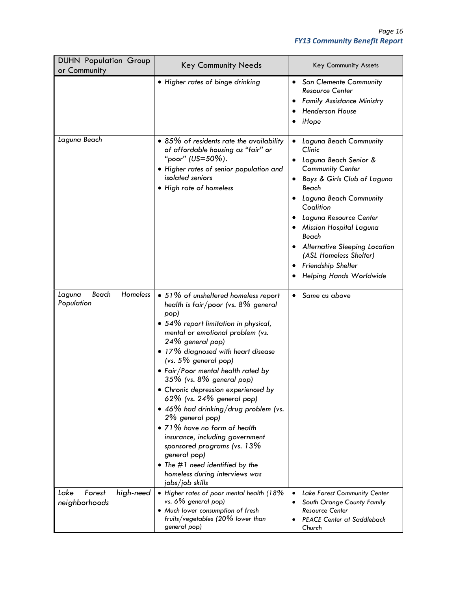| <b>DUHN Population Group</b><br>or Community | <b>Key Community Needs</b>                                                                                                                                                                                                                                                                                                                                                                                                                                                                                                                                                                                                                                         | Key Community Assets                                                                                                                                                                                                                                                                                                                                        |
|----------------------------------------------|--------------------------------------------------------------------------------------------------------------------------------------------------------------------------------------------------------------------------------------------------------------------------------------------------------------------------------------------------------------------------------------------------------------------------------------------------------------------------------------------------------------------------------------------------------------------------------------------------------------------------------------------------------------------|-------------------------------------------------------------------------------------------------------------------------------------------------------------------------------------------------------------------------------------------------------------------------------------------------------------------------------------------------------------|
|                                              | • Higher rates of binge drinking                                                                                                                                                                                                                                                                                                                                                                                                                                                                                                                                                                                                                                   | <b>San Clemente Community</b><br>$\bullet$<br><b>Resource Center</b><br><b>Family Assistance Ministry</b><br><b>Henderson House</b><br>iHope                                                                                                                                                                                                                |
| Laguna Beach                                 | • 85% of residents rate the availability<br>of affordable housing as "fair" or<br>"poor" (US=50%).<br>· Higher rates of senior population and<br>isolated seniors<br>• High rate of homeless                                                                                                                                                                                                                                                                                                                                                                                                                                                                       | Laguna Beach Community<br>Clinic<br>Laguna Beach Senior &<br><b>Community Center</b><br>Boys & Girls Club of Laguna<br>Beach<br>Laguna Beach Community<br>Coalition<br>Laguna Resource Center<br>Mission Hospital Laguna<br>Beach<br><b>Alternative Sleeping Location</b><br>(ASL Homeless Shelter)<br>Friendship Shelter<br><b>Helping Hands Worldwide</b> |
| Homeless<br>Beach<br>Laguna<br>Population    | • 51% of unsheltered homeless report<br>health is fair/poor (vs. $8\%$ general<br>pop)<br>• 54% report limitation in physical,<br>mental or emotional problem (vs.<br>24% general pop)<br>• 17% diagnosed with heart disease<br>$(vs. 5\%$ general pop)<br>• Fair/Poor mental health rated by<br>35% (vs. 8% general pop)<br>· Chronic depression experienced by<br>62% (vs. 24% general pop)<br>• 46% had drinking/drug problem (vs.<br>2% general pop)<br>• 71% have no form of health<br>insurance, including government<br>sponsored programs (vs. 13%<br>general pop)<br>• The #1 need identified by the<br>homeless during interviews was<br>jobs/job skills | Same as above                                                                                                                                                                                                                                                                                                                                               |
| Lake<br>Forest<br>high-need<br>neighborhoods | • Higher rates of poor mental health (18%<br>vs. 6% general pop)<br>. Much lower consumption of fresh<br>fruits/vegetables (20% lower than<br>general pop)                                                                                                                                                                                                                                                                                                                                                                                                                                                                                                         | <b>Lake Forest Community Center</b><br>$\bullet$<br>South Orange County Family<br><b>Resource Center</b><br><b>PEACE Center at Saddleback</b><br>Church                                                                                                                                                                                                     |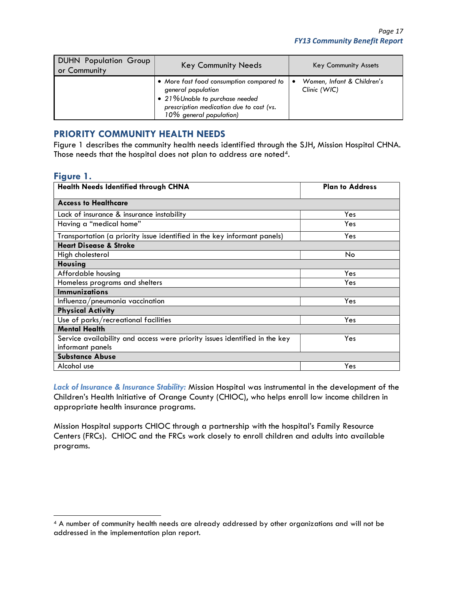| <b>DUHN Population Group</b><br>or Community | <b>Key Community Needs</b>                                                                                                                                               | <b>Key Community Assets</b>                     |
|----------------------------------------------|--------------------------------------------------------------------------------------------------------------------------------------------------------------------------|-------------------------------------------------|
|                                              | • More fast food consumption compared to<br>general population<br>• 21% Unable to purchase needed<br>prescription medication due to cost (vs.<br>10% general population) | Women, Infant & Children's<br>٠<br>Clinic (WIC) |

### **PRIORITY COMMUNITY HEALTH NEEDS**

Figure 1 describes the community health needs identified through the SJH, Mission Hospital CHNA. Those needs that the hospital does not plan to address are noted<sup>4</sup>.

#### **Figure 1.**

| <b>Health Needs Identified through CHNA</b>                                | <b>Plan to Address</b> |
|----------------------------------------------------------------------------|------------------------|
| <b>Access to Healthcare</b>                                                |                        |
| Lack of insurance & insurance instability                                  | Yes                    |
| Having a "medical home"                                                    | Yes                    |
| Transportation (a priority issue identified in the key informant panels)   | Yes                    |
| <b>Heart Disease &amp; Stroke</b>                                          |                        |
| High cholesterol                                                           | No                     |
| <b>Housing</b>                                                             |                        |
| Affordable housing                                                         | Yes                    |
| Homeless programs and shelters                                             | Yes                    |
| <b>Immunizations</b>                                                       |                        |
| Influenza/pneumonia vaccination                                            | Yes                    |
| <b>Physical Activity</b>                                                   |                        |
| Use of parks/recreational facilities                                       | Yes                    |
| <b>Mental Health</b>                                                       |                        |
| Service availability and access were priority issues identified in the key | Yes                    |
| informant panels                                                           |                        |
| <b>Substance Abuse</b>                                                     |                        |
| Alcohol use                                                                | Yes                    |

*Lack of Insurance & Insurance Stability:* Mission Hospital was instrumental in the development of the Children's Health Initiative of Orange County (CHIOC), who helps enroll low income children in appropriate health insurance programs.

Mission Hospital supports CHIOC through a partnership with the hospital's Family Resource Centers (FRCs). CHIOC and the FRCs work closely to enroll children and adults into available programs.

<sup>4</sup> A number of community health needs are already addressed by other organizations and will not be addressed in the implementation plan report.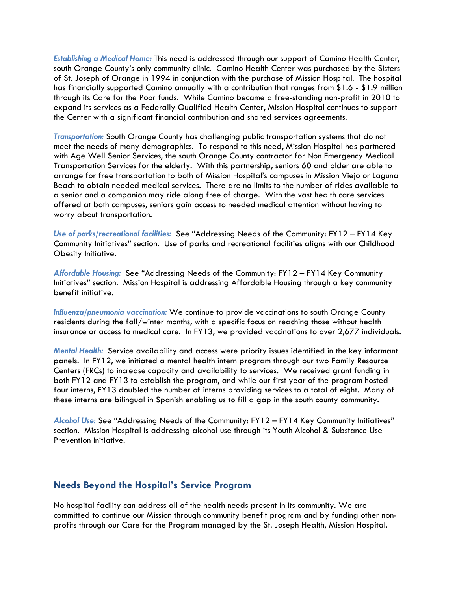*Establishing a Medical Home:* This need is addressed through our support of Camino Health Center, south Orange County's only community clinic. Camino Health Center was purchased by the Sisters of St. Joseph of Orange in 1994 in conjunction with the purchase of Mission Hospital. The hospital has financially supported Camino annually with a contribution that ranges from \$1.6 - \$1.9 million through its Care for the Poor funds. While Camino became a free-standing non-profit in 2010 to expand its services as a Federally Qualified Health Center, Mission Hospital continues to support the Center with a significant financial contribution and shared services agreements.

*Transportation:* South Orange County has challenging public transportation systems that do not meet the needs of many demographics. To respond to this need, Mission Hospital has partnered with Age Well Senior Services, the south Orange County contractor for Non Emergency Medical Transportation Services for the elderly. With this partnership, seniors 60 and older are able to arrange for free transportation to both of Mission Hospital's campuses in Mission Viejo or Laguna Beach to obtain needed medical services. There are no limits to the number of rides available to a senior and a companion may ride along free of charge. With the vast health care services offered at both campuses, seniors gain access to needed medical attention without having to worry about transportation.

*Use of parks/recreational facilities:* See "Addressing Needs of the Community: FY12 – FY14 Key Community Initiatives" section. Use of parks and recreational facilities aligns with our Childhood Obesity Initiative.

*Affordable Housing:* See "Addressing Needs of the Community: FY12 – FY14 Key Community Initiatives" section. Mission Hospital is addressing Affordable Housing through a key community benefit initiative.

*Influenza/pneumonia vaccination:* We continue to provide vaccinations to south Orange County residents during the fall/winter months, with a specific focus on reaching those without health insurance or access to medical care. In FY13, we provided vaccinations to over 2,677 individuals.

*Mental Health:* Service availability and access were priority issues identified in the key informant panels. In FY12, we initiated a mental health intern program through our two Family Resource Centers (FRCs) to increase capacity and availability to services. We received grant funding in both FY12 and FY13 to establish the program, and while our first year of the program hosted four interns, FY13 doubled the number of interns providing services to a total of eight. Many of these interns are bilingual in Spanish enabling us to fill a gap in the south county community.

*Alcohol Use:* See "Addressing Needs of the Community: FY12 – FY14 Key Community Initiatives" section. Mission Hospital is addressing alcohol use through its Youth Alcohol & Substance Use Prevention initiative.

### **Needs Beyond the Hospital's Service Program**

No hospital facility can address all of the health needs present in its community. We are committed to continue our Mission through community benefit program and by funding other nonprofits through our Care for the Program managed by the St. Joseph Health, Mission Hospital.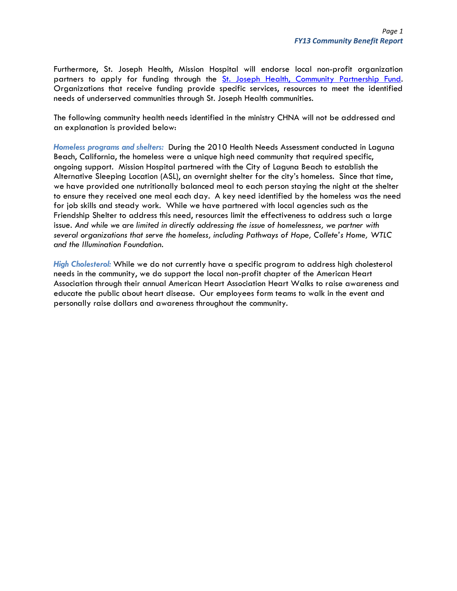Furthermore, St. Joseph Health, Mission Hospital will endorse local non-profit organization partners to apply for funding through the St. Joseph Health, Community Partnership Fund. Organizations that receive funding provide specific services, resources to meet the identified needs of underserved communities through St. Joseph Health communities.

The following community health needs identified in the ministry CHNA will not be addressed and an explanation is provided below:

*Homeless programs and shelters:* During the 2010 Health Needs Assessment conducted in Laguna Beach, California, the homeless were a unique high need community that required specific, ongoing support. Mission Hospital partnered with the City of Laguna Beach to establish the Alternative Sleeping Location (ASL), an overnight shelter for the city's homeless. Since that time, we have provided one nutritionally balanced meal to each person staying the night at the shelter to ensure they received one meal each day. A key need identified by the homeless was the need for job skills and steady work. While we have partnered with local agencies such as the Friendship Shelter to address this need, resources limit the effectiveness to address such a large issue. *And while we are limited in directly addressing the issue of homelessness, we partner with several organizations that serve the homeless, including Pathways of Hope, Collete's Home, WTLC and the Illumination Foundation.*

*High Cholesterol:* While we do not currently have a specific program to address high cholesterol needs in the community, we do support the local non-profit chapter of the American Heart Association through their annual American Heart Association Heart Walks to raise awareness and educate the public about heart disease. Our employees form teams to walk in the event and personally raise dollars and awareness throughout the community.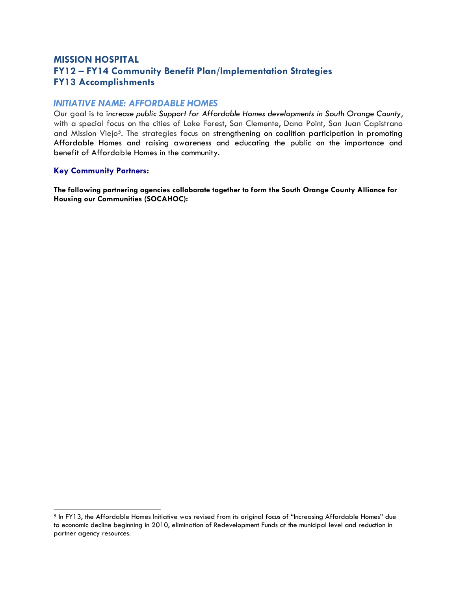## **MISSION HOSPITAL FY12 – FY14 Community Benefit Plan/Implementation Strategies FY13 Accomplishments**

### *INITIATIVE NAME: AFFORDABLE HOMES*

Our goal is to i*ncrease public Support for Affordable Homes developments in South Orange County*, with a special focus on the cities of Lake Forest, San Clemente, Dana Point, San Juan Capistrano and Mission Viejo5. The strategies focus on strengthening on coalition participation in promoting Affordable Homes and raising awareness and educating the public on the importance and benefit of Affordable Homes in the community.

#### **Key Community Partners:**

**The following partnering agencies collaborate together to form the South Orange County Alliance for Housing our Communities (SOCAHOC):** 

<sup>5</sup> In FY13, the Affordable Homes Initiative was revised from its original focus of "Increasing Affordable Homes" due to economic decline beginning in 2010, elimination of Redevelopment Funds at the municipal level and reduction in partner agency resources.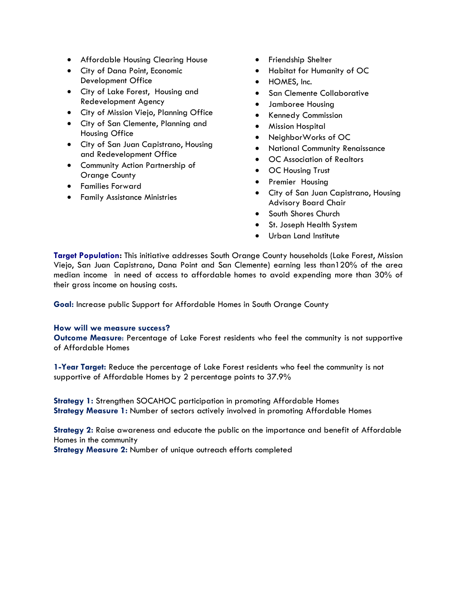- Affordable Housing Clearing House
- City of Dana Point, Economic Development Office
- City of Lake Forest, Housing and Redevelopment Agency
- City of Mission Viejo, Planning Office
- City of San Clemente, Planning and Housing Office
- City of San Juan Capistrano, Housing and Redevelopment Office
- Community Action Partnership of Orange County
- Families Forward
- Family Assistance Ministries
- **•** Friendship Shelter
- Habitat for Humanity of OC
- HOMES, Inc.
- San Clemente Collaborative
- Jamboree Housing
- Kennedy Commission
- Mission Hospital
- NeighborWorks of OC
- National Community Renaissance
- OC Association of Realtors
- **OC Housing Trust**
- Premier Housing
- City of San Juan Capistrano, Housing Advisory Board Chair
- **•** South Shores Church
- St. Joseph Health System
- Urban Land Institute

**Target Population:** This initiative addresses South Orange County households (Lake Forest, Mission Viejo, San Juan Capistrano, Dana Point and San Clemente) earning less than120% of the area median income in need of access to affordable homes to avoid expending more than 30% of their gross income on housing costs.

**Goal:** Increase public Support for Affordable Homes in South Orange County

#### **How will we measure success?**

**Outcome Measure**: Percentage of Lake Forest residents who feel the community is not supportive of Affordable Homes

**1-Year Target:** Reduce the percentage of Lake Forest residents who feel the community is not supportive of Affordable Homes by 2 percentage points to 37.9%

**Strategy 1:** Strengthen SOCAHOC participation in promoting Affordable Homes **Strategy Measure 1:** Number of sectors actively involved in promoting Affordable Homes

**Strategy 2:** Raise awareness and educate the public on the importance and benefit of Affordable Homes in the community

**Strategy Measure 2:** Number of unique outreach efforts completed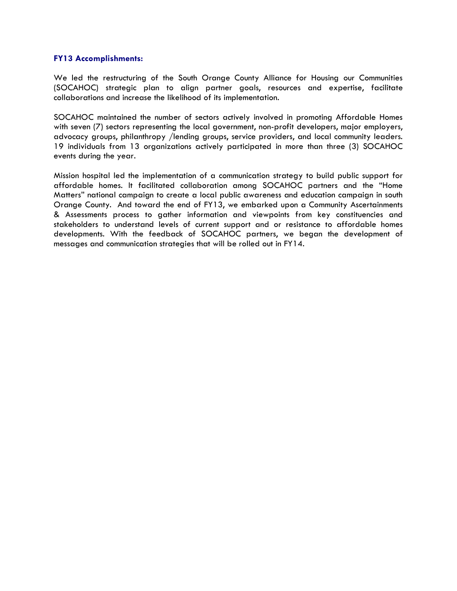#### **FY13 Accomplishments:**

We led the restructuring of the South Orange County Alliance for Housing our Communities (SOCAHOC) strategic plan to align partner goals, resources and expertise, facilitate collaborations and increase the likelihood of its implementation.

SOCAHOC maintained the number of sectors actively involved in promoting Affordable Homes with seven (7) sectors representing the local government, non-profit developers, major employers, advocacy groups, philanthropy /lending groups, service providers, and local community leaders. 19 individuals from 13 organizations actively participated in more than three (3) SOCAHOC events during the year.

Mission hospital led the implementation of a communication strategy to build public support for affordable homes. It facilitated collaboration among SOCAHOC partners and the "Home Matters" national campaign to create a local public awareness and education campaign in south Orange County. And toward the end of FY13, we embarked upon a Community Ascertainments & Assessments process to gather information and viewpoints from key constituencies and stakeholders to understand levels of current support and or resistance to affordable homes developments. With the feedback of SOCAHOC partners, we began the development of messages and communication strategies that will be rolled out in FY14.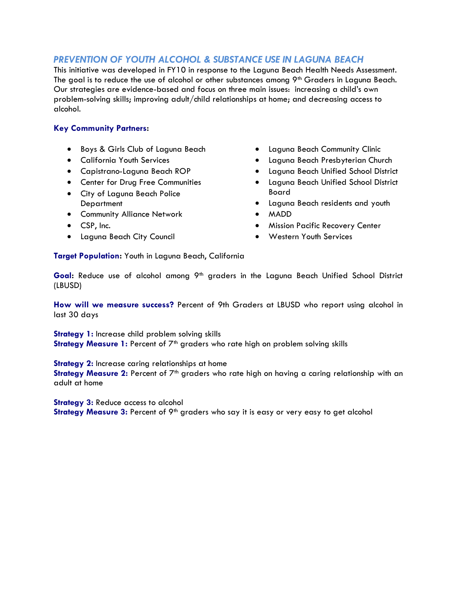## *PREVENTION OF YOUTH ALCOHOL & SUBSTANCE USE IN LAGUNA BEACH*

This initiative was developed in FY10 in response to the Laguna Beach Health Needs Assessment. The goal is to reduce the use of alcohol or other substances among 9<sup>th</sup> Graders in Laguna Beach. Our strategies are evidence-based and focus on three main issues: increasing a childís own problem-solving skills; improving adult/child relationships at home; and decreasing access to alcohol.

### **Key Community Partners:**

- Boys & Girls Club of Laguna Beach
- California Youth Services
- Capistrano-Laguna Beach ROP
- Center for Drug Free Communities
- City of Laguna Beach Police **Department**
- **•** Community Alliance Network
- CSP, Inc.
- Laguna Beach City Council
- Laguna Beach Community Clinic
- Laguna Beach Presbyterian Church
- Laguna Beach Unified School District
- Laguna Beach Unified School District Board
- Laguna Beach residents and youth
- MADD
- **•** Mission Pacific Recovery Center
- Western Youth Services

**Target Population:** Youth in Laguna Beach, California

Goal: Reduce use of alcohol among 9<sup>th</sup> graders in the Laguna Beach Unified School District (LBUSD)

**How will we measure success?** Percent of 9th Graders at LBUSD who report using alcohol in last 30 days

**Strategy 1:** Increase child problem solving skills **Strategy Measure 1:** Percent of 7<sup>th</sup> graders who rate high on problem solving skills

**Strategy 2:** Increase caring relationships at home

Strategy Measure 2: Percent of 7<sup>th</sup> graders who rate high on having a caring relationship with an adult at home

**Strategy 3: Reduce access to alcohol** 

Strategy Measure 3: Percent of 9<sup>th</sup> graders who say it is easy or very easy to get alcohol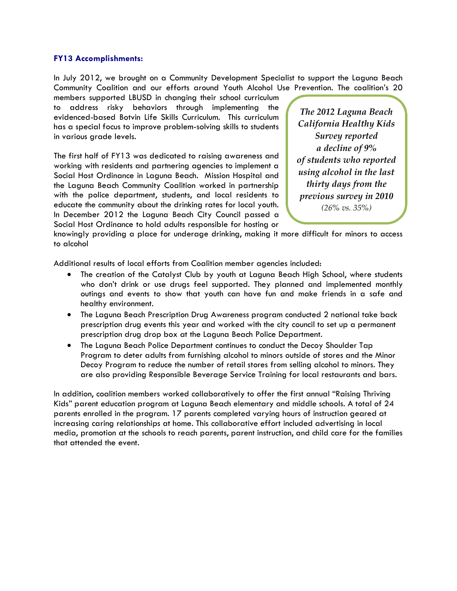#### **FY13 Accomplishments:**

In July 2012, we brought on a Community Development Specialist to support the Laguna Beach Community Coalition and our efforts around Youth Alcohol Use Prevention. The coalitionís 20

members supported LBUSD in changing their school curriculum to address risky behaviors through implementing the evidenced-based Botvin Life Skills Curriculum. This curriculum has a special focus to improve problem-solving skills to students in various grade levels.

The first half of FY13 was dedicated to raising awareness and working with residents and partnering agencies to implement a Social Host Ordinance in Laguna Beach. Mission Hospital and the Laguna Beach Community Coalition worked in partnership with the police department, students, and local residents to educate the community about the drinking rates for local youth. In December 2012 the Laguna Beach City Council passed a Social Host Ordinance to hold adults responsible for hosting or

*The 2012 Laguna Beach California Healthy Kids Survey reported a decline of 9% of students who reported using alcohol in the last thirty days from the previous survey in 2010 (26% vs. 35%)* 

knowingly providing a place for underage drinking, making it more difficult for minors to access to alcohol

Additional results of local efforts from Coalition member agencies included:

- The creation of the Catalyst Club by youth at Laguna Beach High School, where students who donít drink or use drugs feel supported. They planned and implemented monthly outings and events to show that youth can have fun and make friends in a safe and healthy environment.
- The Laguna Beach Prescription Drug Awareness program conducted 2 national take back prescription drug events this year and worked with the city council to set up a permanent prescription drug drop box at the Laguna Beach Police Department.
- The Laguna Beach Police Department continues to conduct the Decoy Shoulder Tap Program to deter adults from furnishing alcohol to minors outside of stores and the Minor Decoy Program to reduce the number of retail stores from selling alcohol to minors. They are also providing Responsible Beverage Service Training for local restaurants and bars.

In addition, coalition members worked collaboratively to offer the first annual "Raising Thriving Kidsî parent education program at Laguna Beach elementary and middle schools. A total of 24 parents enrolled in the program. 17 parents completed varying hours of instruction geared at increasing caring relationships at home. This collaborative effort included advertising in local media, promotion at the schools to reach parents, parent instruction, and child care for the families that attended the event.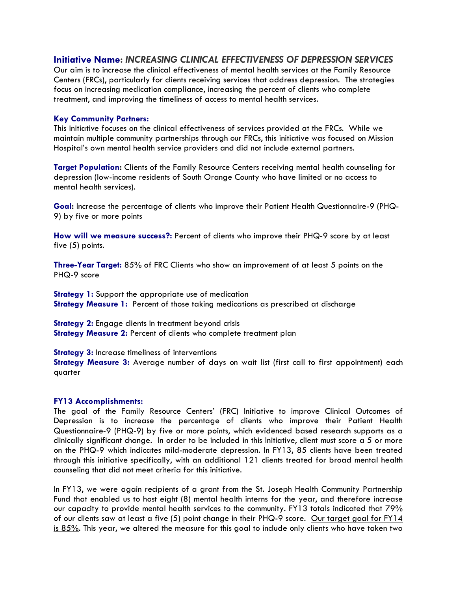### **Initiative Name:** *INCREASING CLINICAL EFFECTIVENESS OF DEPRESSION SERVICES*

Our aim is to increase the clinical effectiveness of mental health services at the Family Resource Centers (FRCs), particularly for clients receiving services that address depression. The strategies focus on increasing medication compliance, increasing the percent of clients who complete treatment, and improving the timeliness of access to mental health services.

#### **Key Community Partners:**

This initiative focuses on the clinical effectiveness of services provided at the FRCs. While we maintain multiple community partnerships through our FRCs, this initiative was focused on Mission Hospitalís own mental health service providers and did not include external partners.

**Target Population:** Clients of the Family Resource Centers receiving mental health counseling for depression (low-income residents of South Orange County who have limited or no access to mental health services).

**Goal:** Increase the percentage of clients who improve their Patient Health Questionnaire-9 (PHQ-9) by five or more points

**How will we measure success?:** Percent of clients who improve their PHQ-9 score by at least five (5) points.

**Three-Year Target:** 85% of FRC Clients who show an improvement of at least 5 points on the PHQ-9 score

**Strategy 1:** Support the appropriate use of medication **Strategy Measure 1:** Percent of those taking medications as prescribed at discharge

**Strategy 2:** Engage clients in treatment beyond crisis **Strategy Measure 2: Percent of clients who complete treatment plan** 

**Strategy 3:** Increase timeliness of interventions

**Strategy Measure 3:** Average number of days on wait list (first call to first appointment) each quarter

#### **FY13 Accomplishments:**

The goal of the Family Resource Centersí (FRC) Initiative to improve Clinical Outcomes of Depression is to increase the percentage of clients who improve their Patient Health Questionnaire-9 (PHQ-9) by five or more points, which evidenced based research supports as a clinically significant change. In order to be included in this Initiative, client must score a 5 or more on the PHQ-9 which indicates mild-moderate depression. In FY13, 85 clients have been treated through this initiative specifically, with an additional 121 clients treated for broad mental health counseling that did not meet criteria for this initiative.

In FY13, we were again recipients of a grant from the St. Joseph Health Community Partnership Fund that enabled us to host eight (8) mental health interns for the year, and therefore increase our capacity to provide mental health services to the community. FY13 totals indicated that 79% of our clients saw at least a five (5) point change in their PHQ-9 score. Our target goal for FY14 <u>is 85%</u>. This year, we altered the measure for this goal to include only clients who have taken two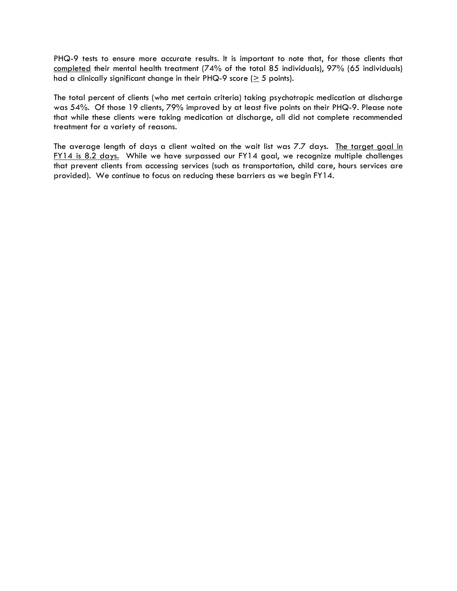PHQ-9 tests to ensure more accurate results. It is important to note that, for those clients that completed their mental health treatment (74% of the total 85 individuals), 97% (65 individuals) had a clinically significant change in their PHQ-9 score ( $\geq$  5 points).

The total percent of clients (who met certain criteria) taking psychotropic medication at discharge was 54%. Of those 19 clients, 79% improved by at least five points on their PHQ-9. Please note that while these clients were taking medication at discharge, all did not complete recommended treatment for a variety of reasons.

The average length of days a client waited on the wait list was 7.7 days. The target goal in FY14 is 8.2 days. While we have surpassed our FY14 goal, we recognize multiple challenges that prevent clients from accessing services (such as transportation, child care, hours services are provided). We continue to focus on reducing these barriers as we begin FY14.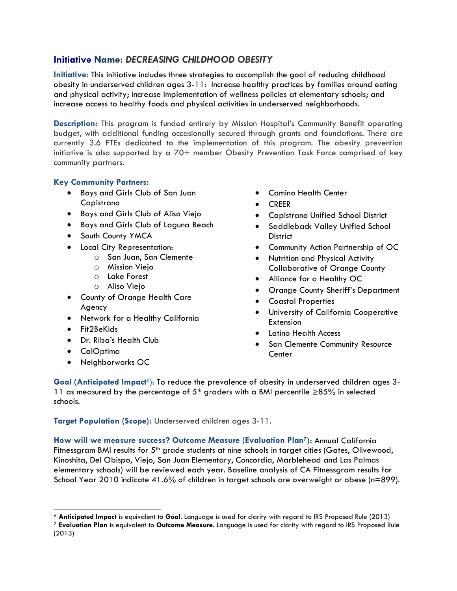## **Initiative Name:** *DECREASING CHILDHOOD OBESITY*

**Initiative:** This initiative includes three strategies to accomplish the goal of reducing childhood obesity in underserved children ages 3-11: Increase healthy practices by families around eating and physical activity; increase implementation of wellness policies at elementary schools; and increase access to healthy foods and physical activities in underserved neighborhoods.

**Description:** This program is funded entirely by Mission Hospital's Community Benefit operating budget, with additional funding occasionally secured through grants and foundations. There are currently 3.6 FTEs dedicated to the implementation of this program. The obesity prevention initiative is also supported by a 70+ member Obesity Prevention Task Force comprised of key community partners.

### **Key Community Partners:**

- Boys and Girls Club of San Juan Capistrano
- Boys and Girls Club of Aliso Viejo
- Boys and Girls Club of Laguna Beach
- South County YMCA
- Local City Representation:
	- o San Juan, San Clemente
	- o Mission Viejo
	- o Lake Forest
	- o Aliso Viejo
- County of Orange Health Care Agency
- Network for a Healthy California
- Fit2BeKids
- Dr. Riba's Health Club
- CalOptima
- Neighborworks OC
- Camino Health Center
- CREER
- Capistrano Unified School District
- Saddleback Valley Unified School **District**
- Community Action Partnership of OC
- Nutrition and Physical Activity Collaborative of Orange County
- Alliance for a Healthy OC
- Orange County Sheriff's Department
- Coastal Properties
- University of California Cooperative Extension
- Latino Health Access
- **•** San Clemente Community Resource **Center**

Goal (Anticipated Impact<sup>6</sup>): To reduce the prevalence of obesity in underserved children ages 3-11 as measured by the percentage of  $5<sup>th</sup>$  graders with a BMI percentile  $\geq$ 85% in selected schools.

**Target Population (Scope):** Underserved children ages 3-11.

**How will we measure success? Outcome Measure (Evaluation Plan7):** Annual California Fitnessgram BMI results for  $5<sup>th</sup>$  grade students at nine schools in target cities (Gates, Olivewood, Kinoshita, Del Obispo, Viejo, San Juan Elementary, Concordia, Marblehead and Las Palmas elementary schools) will be reviewed each year. Baseline analysis of CA Fitnessgram results for School Year 2010 indicate 41.6% of children in target schools are overweight or obese (n=899).

<sup>6</sup> **Anticipated Impact** is equivalent to **Goal**. Language is used for clarity with regard to IRS Proposed Rule (2013)

<sup>7</sup> **Evaluation Plan** is equivalent to **Outcome Measure**. Language is used for clarity with regard to IRS Proposed Rule (2013)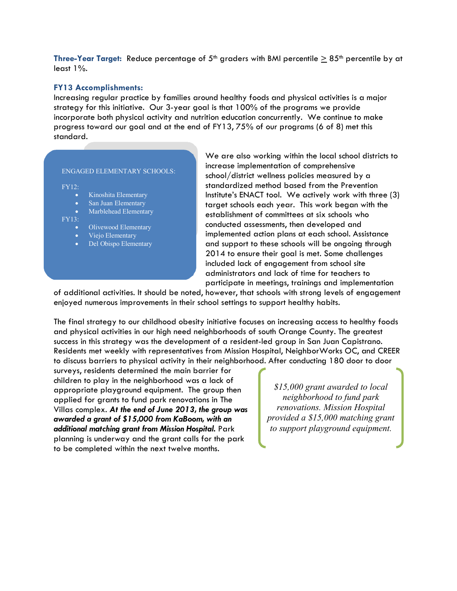**Three-Year Target:** Reduce percentage of 5<sup>th</sup> graders with BMI percentile  $\geq 85$ <sup>th</sup> percentile by at least 1%.

#### **FY13 Accomplishments:**

Increasing regular practice by families around healthy foods and physical activities is a major strategy for this initiative. Our 3-year goal is that 100% of the programs we provide incorporate both physical activity and nutrition education concurrently. We continue to make progress toward our goal and at the end of FY13, 75% of our programs (6 of 8) met this standard.

#### ENGAGED ELEMENTARY SCHOOLS:

FY12:

- Kinoshita Elementary
- San Juan Elementary
- Marblehead Elementary

FY13:

- Olivewood Elementary
- Viejo Elementary
- Del Obispo Elementary

We are also working within the local school districts to increase implementation of comprehensive school/district wellness policies measured by a standardized method based from the Prevention Institute's ENACT tool. We actively work with three (3) target schools each year. This work began with the establishment of committees at six schools who conducted assessments, then developed and implemented action plans at each school. Assistance and support to these schools will be ongoing through 2014 to ensure their goal is met. Some challenges included lack of engagement from school site administrators and lack of time for teachers to participate in meetings, trainings and implementation

of additional activities. It should be noted, however, that schools with strong levels of engagement enjoyed numerous improvements in their school settings to support healthy habits.

The final strategy to our childhood obesity initiative focuses on increasing access to healthy foods and physical activities in our high need neighborhoods of south Orange County. The greatest success in this strategy was the development of a resident-led group in San Juan Capistrano. Residents met weekly with representatives from Mission Hospital, NeighborWorks OC, and CREER to discuss barriers to physical activity in their neighborhood. After conducting 180 door to door

surveys, residents determined the main barrier for children to play in the neighborhood was a lack of appropriate playground equipment. The group then applied for grants to fund park renovations in The Villas complex. *At the end of June 2013, the group was awarded a grant of \$15,000 from KaBoom, with an additional matching grant from Mission Hospital.* Park planning is underway and the grant calls for the park to be completed within the next twelve months.

*\$15,000 grant awarded to local neighborhood to fund park renovations. Mission Hospital provided a \$15,000 matching grant to support playground equipment.*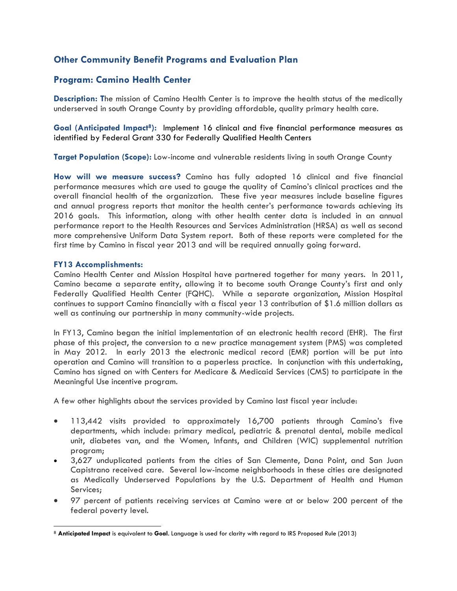## **Other Community Benefit Programs and Evaluation Plan**

## **Program: Camino Health Center**

**Description: T**he mission of Camino Health Center is to improve the health status of the medically underserved in south Orange County by providing affordable, quality primary health care.

Goal (Anticipated Impact<sup>8</sup>): Implement 16 clinical and five financial performance measures as identified by Federal Grant 330 for Federally Qualified Health Centers

**Target Population (Scope):** Low-income and vulnerable residents living in south Orange County

**How will we measure success?** Camino has fully adopted 16 clinical and five financial performance measures which are used to gauge the quality of Caminoís clinical practices and the overall financial health of the organization. These five year measures include baseline figures and annual progress reports that monitor the health centerís performance towards achieving its 2016 goals. This information, along with other health center data is included in an annual performance report to the Health Resources and Services Administration (HRSA) as well as second more comprehensive Uniform Data System report. Both of these reports were completed for the first time by Camino in fiscal year 2013 and will be required annually going forward.

#### **FY13 Accomplishments:**

Camino Health Center and Mission Hospital have partnered together for many years. In 2011, Camino became a separate entity, allowing it to become south Orange Countyís first and only Federally Qualified Health Center (FQHC). While a separate organization, Mission Hospital continues to support Camino financially with a fiscal year 13 contribution of \$1.6 million dollars as well as continuing our partnership in many community-wide projects.

In FY13, Camino began the initial implementation of an electronic health record (EHR). The first phase of this project, the conversion to a new practice management system (PMS) was completed in May 2012. In early 2013 the electronic medical record (EMR) portion will be put into operation and Camino will transition to a paperless practice. In conjunction with this undertaking, Camino has signed on with Centers for Medicare & Medicaid Services (CMS) to participate in the Meaningful Use incentive program.

A few other highlights about the services provided by Camino last fiscal year include:

- 113,442 visits provided to approximately 16,700 patients through Caminoís five departments, which include: primary medical, pediatric & prenatal dental, mobile medical unit, diabetes van, and the Women, Infants, and Children (WIC) supplemental nutrition program;
- 3,627 unduplicated patients from the cities of San Clemente, Dana Point, and San Juan Capistrano received care. Several low-income neighborhoods in these cities are designated as Medically Underserved Populations by the U.S. Department of Health and Human Services;
- 97 percent of patients receiving services at Camino were at or below 200 percent of the federal poverty level.

<sup>8</sup> **Anticipated Impact** is equivalent to **Goal**. Language is used for clarity with regard to IRS Proposed Rule (2013)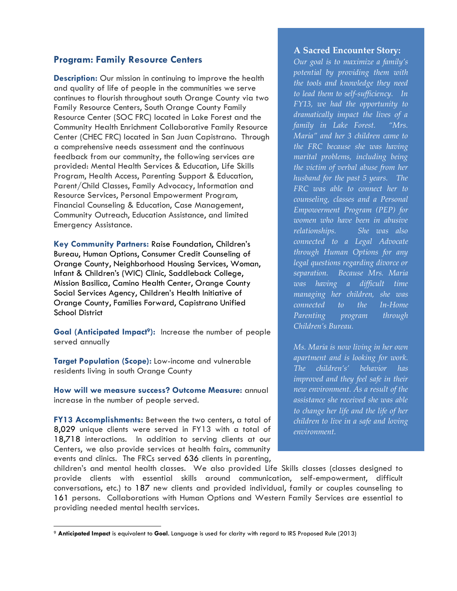### **Program: Family Resource Centers**

**Description:** Our mission in continuing to improve the health and quality of life of people in the communities we serve continues to flourish throughout south Orange County via two Family Resource Centers, South Orange County Family Resource Center (SOC FRC) located in Lake Forest and the Community Health Enrichment Collaborative Family Resource Center (CHEC FRC) located in San Juan Capistrano. Through a comprehensive needs assessment and the continuous feedback from our community, the following services are provided: Mental Health Services & Education, Life Skills Program, Health Access, Parenting Support & Education, Parent/Child Classes, Family Advocacy, Information and Resource Services, Personal Empowerment Program, Financial Counseling & Education, Case Management, Community Outreach, Education Assistance, and limited Emergency Assistance.

**Key Community Partners:** Raise Foundation, Childrenís Bureau, Human Options, Consumer Credit Counseling of Orange County, Neighborhood Housing Services, Woman, Infant & Childrenís (WIC) Clinic, Saddleback College, Mission Basilica, Camino Health Center, Orange County Social Services Agency, Children's Health Initiative of Orange County, Families Forward, Capistrano Unified School District

Goal (Anticipated Impact<sup>9</sup>): Increase the number of people served annually

**Target Population (Scope):** Low-income and vulnerable residents living in south Orange County

**How will we measure success? Outcome Measure:** annual increase in the number of people served.

**FY13 Accomplishments:** Between the two centers, a total of 8,029 unique clients were served in FY13 with a total of 18,718 interactions. In addition to serving clients at our Centers, we also provide services at health fairs, community events and clinics. The FRCs served 636 clients in parenting,

#### **A Sacred Encounter Story:**

*Our goal is to maximize a family's potential by providing them with the tools and knowledge they need to lead them to self-sufficiency. In FY13, we had the opportunity to dramatically impact the lives of a family in Lake Forest. "Mrs. Maria" and her 3 children came to the FRC because she was having marital problems, including being the victim of verbal abuse from her husband for the past 5 years. The FRC was able to connect her to counseling, classes and a Personal Empowerment Program (PEP) for women who have been in abusive relationships. She was also connected to a Legal Advocate through Human Options for any legal questions regarding divorce or separation. Because Mrs. Maria was having a difficult time managing her children, she was connected to the In-Home Parenting program through Children's Bureau.* 

*Ms. Maria is now living in her own apartment and is looking for work. The children's' behavior has improved and they feel safe in their new environment. As a result of the assistance she received she was able to change her life and the life of her children to live in a safe and loving environment.* 

childrenís and mental health classes. We also provided Life Skills classes (classes designed to provide clients with essential skills around communication, self-empowerment, difficult conversations, etc.) to 187 new clients and provided individual, family or couples counseling to 161 persons. Collaborations with Human Options and Western Family Services are essential to providing needed mental health services.

<sup>9</sup> **Anticipated Impact** is equivalent to **Goal**. Language is used for clarity with regard to IRS Proposed Rule (2013)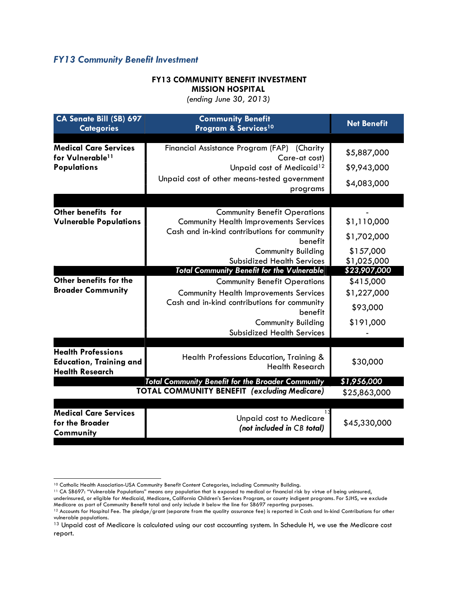## *FY13 Community Benefit Investment*

### **FY13 COMMUNITY BENEFIT INVESTMENT MISSION HOSPITAL**

*(ending June 30, 2013)* 

| <b>CA Senate Bill (SB) 697</b><br><b>Categories</b>                                   | <b>Community Benefit</b><br>Program & Services <sup>10</sup>                                                                                                                                                                                                    | <b>Net Benefit</b>                                                |
|---------------------------------------------------------------------------------------|-----------------------------------------------------------------------------------------------------------------------------------------------------------------------------------------------------------------------------------------------------------------|-------------------------------------------------------------------|
| <b>Medical Care Services</b><br>for Vulnerable <sup>11</sup><br><b>Populations</b>    | Financial Assistance Program (FAP) (Charity<br>Care-at cost)<br>Unpaid cost of Medicaid <sup>12</sup><br>Unpaid cost of other means-tested government<br>programs                                                                                               | \$5,887,000<br>\$9,943,000<br>\$4,083,000                         |
| Other benefits for<br><b>Vulnerable Populations</b>                                   | <b>Community Benefit Operations</b><br><b>Community Health Improvements Services</b><br>Cash and in-kind contributions for community<br>benefit<br>Community Building<br><b>Subsidized Health Services</b>                                                      | \$1,110,000<br>\$1,702,000<br>\$157,000<br>\$1,025,000            |
| Other benefits for the<br><b>Broader Community</b>                                    | <b>Total Community Benefit for the Vulnerable</b><br><b>Community Benefit Operations</b><br><b>Community Health Improvements Services</b><br>Cash and in-kind contributions for community<br>benefit<br>Community Building<br><b>Subsidized Health Services</b> | \$23,907,000<br>\$415,000<br>\$1,227,000<br>\$93,000<br>\$191,000 |
| <b>Health Professions</b><br><b>Education, Training and</b><br><b>Health Research</b> | Health Professions Education, Training &<br><b>Health Research</b>                                                                                                                                                                                              | \$30,000                                                          |
|                                                                                       | <b>Total Community Benefit for the Broader Community</b><br><b>TOTAL COMMUNITY BENEFIT (excluding Medicare)</b>                                                                                                                                                 | \$1,956,000<br>\$25,863,000                                       |
| <b>Medical Care Services</b><br>for the Broader<br>Community                          | <b>Unpaid cost to Medicare</b><br>(not included in CB total)                                                                                                                                                                                                    | \$45,330,000                                                      |

<sup>10</sup> Catholic Health Association-USA Community Benefit Content Categories, including Community Building.

<sup>&</sup>lt;sup>11</sup> CA SB697: "Vulnerable Populations" means any population that is exposed to medical or financial risk by virtue of being uninsured, underinsured, or eligible for Medicaid, Medicare, California Childrenís Services Program, or county indigent programs. For SJHS, we exclude

Medicare as part of Community Benefit total and only include it below the line for SB697 reporting purposes.

<sup>&</sup>lt;sup>12</sup> Accounts for Hospital Fee. The pledge/grant (separate from the quality assurance fee) is reported in Cash and In-kind Contributions for other vulnerable populations.

<sup>13</sup> Unpaid cost of Medicare is calculated using our cost accounting system. In Schedule H, we use the Medicare cost report.